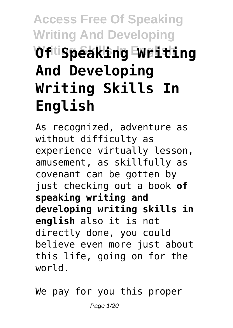# **Access Free Of Speaking Writing And Developing Writing Skills In English Of Speaking Writing And Developing Writing Skills In English**

As recognized, adventure as without difficulty as experience virtually lesson, amusement, as skillfully as covenant can be gotten by just checking out a book **of speaking writing and developing writing skills in english** also it is not directly done, you could believe even more just about this life, going on for the world.

We pay for you this proper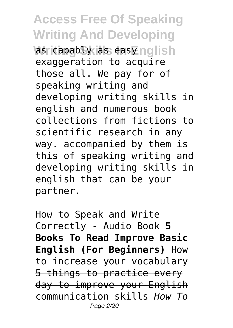**Access Free Of Speaking Writing And Developing Was capably as easy nolish** exaggeration to acquire those all. We pay for of speaking writing and developing writing skills in english and numerous book collections from fictions to scientific research in any way. accompanied by them is this of speaking writing and developing writing skills in english that can be your partner.

How to Speak and Write Correctly - Audio Book **5 Books To Read Improve Basic English (For Beginners)** How to increase your vocabulary 5 things to practice every day to improve your English communication skills *How To* Page 2/20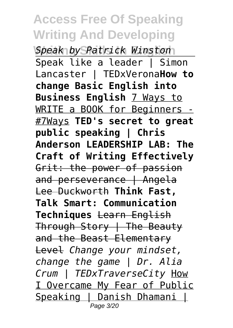**Writing Skills In English** *Speak by Patrick Winston* Speak like a leader  $\overline{I}$  Simon Lancaster | TEDxVerona**How to change Basic English into Business English** 7 Ways to WRITE a BOOK for Beginners - #7Ways **TED's secret to great public speaking | Chris Anderson LEADERSHIP LAB: The Craft of Writing Effectively** Grit: the power of passion and perseverance | Angela Lee Duckworth **Think Fast, Talk Smart: Communication Techniques** Learn English Through Story | The Beauty and the Beast Elementary Level *Change your mindset, change the game | Dr. Alia Crum | TEDxTraverseCity* How I Overcame My Fear of Public Speaking | Danish Dhamani | Page 3/20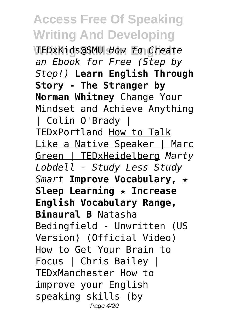**Writing Skills In English** TEDxKids@SMU *How to Create an Ebook for Free (Step by Step!)* **Learn English Through Story - The Stranger by Norman Whitney** Change Your Mindset and Achieve Anything | Colin O'Brady | TEDxPortland How to Talk Like a Native Speaker | Marc Green | TEDxHeidelberg *Marty Lobdell - Study Less Study Smart* **Improve Vocabulary, ★ Sleep Learning ★ Increase English Vocabulary Range, Binaural B** Natasha Bedingfield - Unwritten (US Version) (Official Video) How to Get Your Brain to Focus | Chris Bailey | TEDxManchester How to improve your English speaking skills (by Page 4/20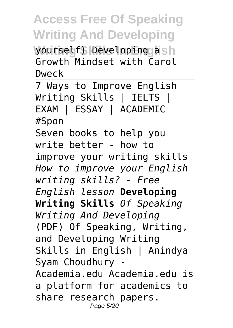**Wourself) Developing ash** Growth Mindset with Carol Dweck

7 Ways to Improve English Writing Skills | IELTS | EXAM | ESSAY | ACADEMIC #Spon

Seven books to help you write better - how to improve your writing skills *How to improve your English writing skills? - Free English lesson* **Developing Writing Skills** *Of Speaking Writing And Developing* (PDF) Of Speaking, Writing, and Developing Writing Skills in English | Anindya Syam Choudhury - Academia.edu Academia.edu is a platform for academics to share research papers. Page 5/20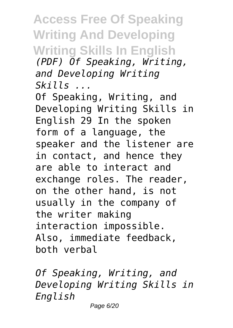**Access Free Of Speaking Writing And Developing Writing Skills In English** *(PDF) Of Speaking, Writing, and Developing Writing Skills ...*

Of Speaking, Writing, and Developing Writing Skills in English 29 In the spoken form of a language, the speaker and the listener are in contact, and hence they are able to interact and exchange roles. The reader, on the other hand, is not usually in the company of the writer making interaction impossible. Also, immediate feedback, both verbal

*Of Speaking, Writing, and Developing Writing Skills in English*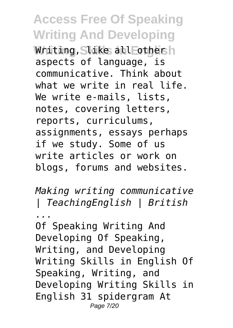Whiting, Slike all Fothersh aspects of language, is communicative. Think about what we write in real life. We write e-mails, lists, notes, covering letters, reports, curriculums, assignments, essays perhaps if we study. Some of us write articles or work on blogs, forums and websites.

*Making writing communicative | TeachingEnglish | British ...*

Of Speaking Writing And Developing Of Speaking, Writing, and Developing Writing Skills in English Of Speaking, Writing, and Developing Writing Skills in English 31 spidergram At Page 7/20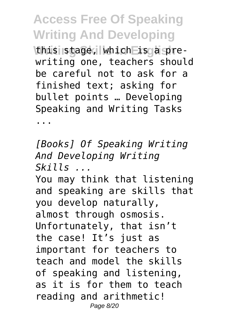this stage, which is a prewriting one, teachers should be careful not to ask for a finished text; asking for bullet points … Developing Speaking and Writing Tasks

...

*[Books] Of Speaking Writing And Developing Writing Skills ...* You may think that listening

and speaking are skills that you develop naturally, almost through osmosis. Unfortunately, that isn't the case! It's just as important for teachers to teach and model the skills of speaking and listening, as it is for them to teach reading and arithmetic! Page 8/20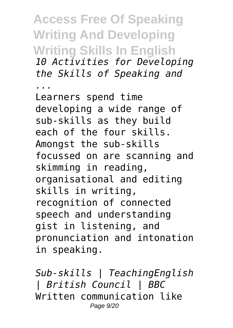**Access Free Of Speaking Writing And Developing Writing Skills In English** *10 Activities for Developing the Skills of Speaking and ...* Learners spend time developing a wide range of sub-skills as they build each of the four skills. Amongst the sub-skills focussed on are scanning and skimming in reading, organisational and editing skills in writing, recognition of connected speech and understanding gist in listening, and pronunciation and intonation in speaking.

*Sub-skills | TeachingEnglish | British Council | BBC* Written communication like Page 9/20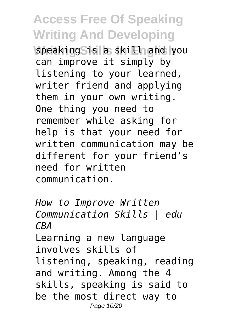**Speaking Sis a skill and you** can improve it simply by listening to your learned, writer friend and applying them in your own writing. One thing you need to remember while asking for help is that your need for written communication may be different for your friend's need for written communication.

*How to Improve Written Communication Skills | edu CBA* Learning a new language involves skills of listening, speaking, reading and writing. Among the 4 skills, speaking is said to be the most direct way to Page 10/20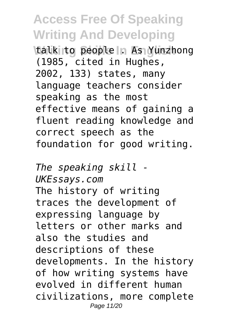**Writing Seconds In As Yunzhong** (1985, cited in Hughes, 2002, 133) states, many language teachers consider speaking as the most effective means of gaining a fluent reading knowledge and correct speech as the foundation for good writing.

*The speaking skill - UKEssays.com* The history of writing traces the development of expressing language by letters or other marks and also the studies and descriptions of these developments. In the history of how writing systems have evolved in different human civilizations, more complete Page 11/20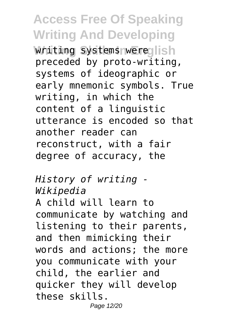**Writing systems were lish** preceded by proto-writing, systems of ideographic or early mnemonic symbols. True writing, in which the content of a linguistic utterance is encoded so that another reader can reconstruct, with a fair degree of accuracy, the

#### *History of writing - Wikipedia*

A child will learn to communicate by watching and listening to their parents, and then mimicking their words and actions; the more you communicate with your child, the earlier and quicker they will develop these skills. Page 12/20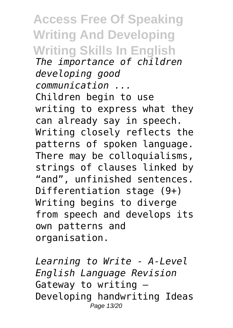**Access Free Of Speaking Writing And Developing Writing Skills In English** *The importance of children developing good communication ...* Children begin to use writing to express what they can already say in speech. Writing closely reflects the patterns of spoken language. There may be colloquialisms, strings of clauses linked by "and", unfinished sentences. Differentiation stage (9+) Writing begins to diverge from speech and develops its own patterns and organisation.

*Learning to Write - A-Level English Language Revision* Gateway to writing – Developing handwriting Ideas Page 13/20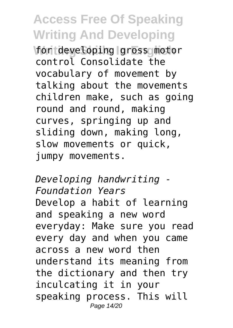**Montdeveloping gross motor** control Consolidate the vocabulary of movement by talking about the movements children make, such as going round and round, making curves, springing up and sliding down, making long, slow movements or quick, jumpy movements.

*Developing handwriting - Foundation Years* Develop a habit of learning and speaking a new word everyday: Make sure you read every day and when you came across a new word then understand its meaning from the dictionary and then try inculcating it in your speaking process. This will Page 14/20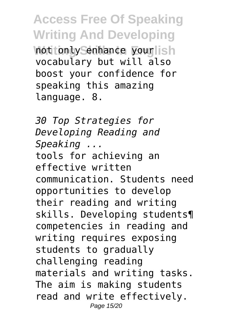**Access Free Of Speaking Writing And Developing Not fonty Senhance yourlish** vocabulary but will also boost your confidence for speaking this amazing language. 8.

*30 Top Strategies for Developing Reading and Speaking ...* tools for achieving an effective written communication. Students need opportunities to develop their reading and writing skills. Developing students¶ competencies in reading and writing requires exposing students to gradually challenging reading materials and writing tasks. The aim is making students read and write effectively. Page 15/20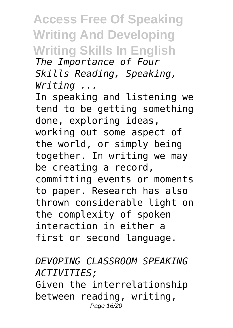#### **Access Free Of Speaking Writing And Developing Writing Skills In English**

*The Importance of Four Skills Reading, Speaking, Writing ...*

In speaking and listening we tend to be getting something done, exploring ideas, working out some aspect of the world, or simply being together. In writing we may be creating a record, committing events or moments to paper. Research has also thrown considerable light on the complexity of spoken interaction in either a first or second language.

#### *DEVOPING CLASSROOM SPEAKING ACTIVITIES;* Given the interrelationship between reading, writing, Page 16/20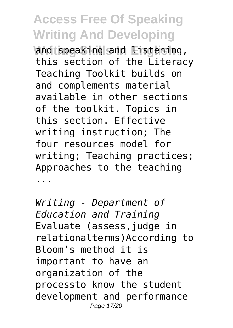**Wandtspeaking and Eistening,** this section of the Literacy Teaching Toolkit builds on and complements material available in other sections of the toolkit. Topics in this section. Effective writing instruction; The four resources model for writing; Teaching practices; Approaches to the teaching ...

*Writing - Department of Education and Training* Evaluate (assess,judge in relationalterms)According to Bloom's method it is important to have an organization of the processto know the student development and performance Page 17/20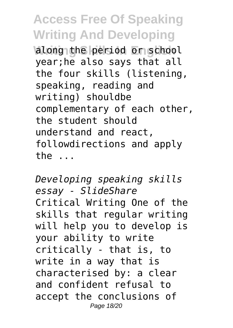along the period or school year;he also says that all the four skills (listening, speaking, reading and writing) shouldbe complementary of each other, the student should understand and react, followdirections and apply the ...

*Developing speaking skills essay - SlideShare* Critical Writing One of the skills that regular writing will help you to develop is your ability to write critically - that is, to write in a way that is characterised by: a clear and confident refusal to accept the conclusions of Page 18/20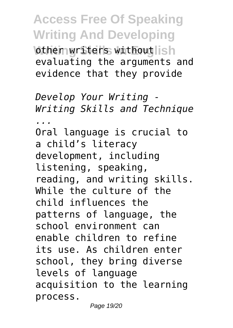**Access Free Of Speaking Writing And Developing Wother writers withoutlish** evaluating the arguments and evidence that they provide

*Develop Your Writing - Writing Skills and Technique ...* Oral language is crucial to a child's literacy development, including listening, speaking, reading, and writing skills. While the culture of the child influences the patterns of language, the school environment can enable children to refine its use. As children enter school, they bring diverse levels of language acquisition to the learning process.

Page 19/20